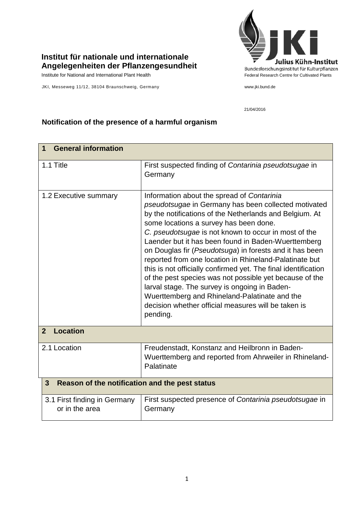## **Institut für nationale und internationale Angelegenheiten der Pflanzengesundheit**

JKI, Messeweg 11/12, 38104 Braunschweig, Germany www.jki.bund.de



21/04/2016

## **Notification of the presence of a harmful organism**

| <b>General information</b><br>1                                                                                                                                                                                                                                                                                                                                                                                                                                                                                                                                                                                                                                                                                                               |  |  |
|-----------------------------------------------------------------------------------------------------------------------------------------------------------------------------------------------------------------------------------------------------------------------------------------------------------------------------------------------------------------------------------------------------------------------------------------------------------------------------------------------------------------------------------------------------------------------------------------------------------------------------------------------------------------------------------------------------------------------------------------------|--|--|
| First suspected finding of Contarinia pseudotsugae in<br>Germany                                                                                                                                                                                                                                                                                                                                                                                                                                                                                                                                                                                                                                                                              |  |  |
| Information about the spread of Contarinia<br>pseudotsugae in Germany has been collected motivated<br>by the notifications of the Netherlands and Belgium. At<br>some locations a survey has been done.<br>C. pseudotsugae is not known to occur in most of the<br>Laender but it has been found in Baden-Wuerttemberg<br>on Douglas fir (Pseudotsuga) in forests and it has been<br>reported from one location in Rhineland-Palatinate but<br>this is not officially confirmed yet. The final identification<br>of the pest species was not possible yet because of the<br>larval stage. The survey is ongoing in Baden-<br>Wuerttemberg and Rhineland-Palatinate and the<br>decision whether official measures will be taken is<br>pending. |  |  |
| <b>Location</b><br>$\overline{2}$                                                                                                                                                                                                                                                                                                                                                                                                                                                                                                                                                                                                                                                                                                             |  |  |
| Freudenstadt, Konstanz and Heilbronn in Baden-<br>Wuerttemberg and reported from Ahrweiler in Rhineland-<br>Palatinate                                                                                                                                                                                                                                                                                                                                                                                                                                                                                                                                                                                                                        |  |  |
| 3<br>Reason of the notification and the pest status                                                                                                                                                                                                                                                                                                                                                                                                                                                                                                                                                                                                                                                                                           |  |  |
| First suspected presence of Contarinia pseudotsugae in<br>Germany                                                                                                                                                                                                                                                                                                                                                                                                                                                                                                                                                                                                                                                                             |  |  |
|                                                                                                                                                                                                                                                                                                                                                                                                                                                                                                                                                                                                                                                                                                                                               |  |  |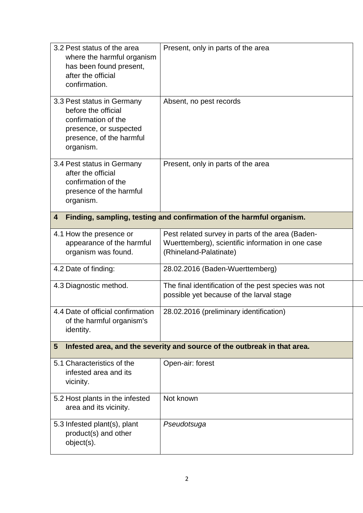| 3.2 Pest status of the area<br>where the harmful organism<br>has been found present,<br>after the official<br>confirmation.                 | Present, only in parts of the area                                                                                              |  |
|---------------------------------------------------------------------------------------------------------------------------------------------|---------------------------------------------------------------------------------------------------------------------------------|--|
| 3.3 Pest status in Germany<br>before the official<br>confirmation of the<br>presence, or suspected<br>presence, of the harmful<br>organism. | Absent, no pest records                                                                                                         |  |
| 3.4 Pest status in Germany<br>after the official<br>confirmation of the<br>presence of the harmful<br>organism.                             | Present, only in parts of the area                                                                                              |  |
| Finding, sampling, testing and confirmation of the harmful organism.<br>4                                                                   |                                                                                                                                 |  |
| 4.1 How the presence or<br>appearance of the harmful<br>organism was found.                                                                 | Pest related survey in parts of the area (Baden-<br>Wuerttemberg), scientific information in one case<br>(Rhineland-Palatinate) |  |
| 4.2 Date of finding:                                                                                                                        | 28.02.2016 (Baden-Wuerttemberg)                                                                                                 |  |
| 4.3 Diagnostic method.                                                                                                                      | The final identification of the pest species was not<br>possible yet because of the larval stage                                |  |
| 4.4 Date of official confirmation<br>of the harmful organism's<br>identity.                                                                 | 28.02.2016 (preliminary identification)                                                                                         |  |
| Infested area, and the severity and source of the outbreak in that area.<br>5                                                               |                                                                                                                                 |  |
| 5.1 Characteristics of the<br>infested area and its<br>vicinity.                                                                            | Open-air: forest                                                                                                                |  |
| 5.2 Host plants in the infested<br>area and its vicinity.                                                                                   | Not known                                                                                                                       |  |
| 5.3 Infested plant(s), plant<br>product(s) and other<br>object(s).                                                                          | Pseudotsuga                                                                                                                     |  |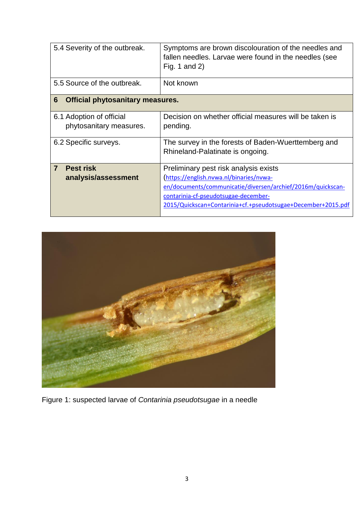| 5.4 Severity of the outbreak.                              | Symptoms are brown discolouration of the needles and<br>fallen needles. Larvae were found in the needles (see<br>Fig. 1 and 2)                                                                                                                          |  |
|------------------------------------------------------------|---------------------------------------------------------------------------------------------------------------------------------------------------------------------------------------------------------------------------------------------------------|--|
| 5.5 Source of the outbreak.                                | Not known                                                                                                                                                                                                                                               |  |
| $6\phantom{1}6$<br><b>Official phytosanitary measures.</b> |                                                                                                                                                                                                                                                         |  |
| 6.1 Adoption of official<br>phytosanitary measures.        | Decision on whether official measures will be taken is<br>pending.                                                                                                                                                                                      |  |
| 6.2 Specific surveys.                                      | The survey in the forests of Baden-Wuerttemberg and<br>Rhineland-Palatinate is ongoing.                                                                                                                                                                 |  |
| $\overline{7}$<br><b>Pest risk</b><br>analysis/assessment  | Preliminary pest risk analysis exists<br>(https://english.nvwa.nl/binaries/nvwa-<br>en/documents/communicatie/diversen/archief/2016m/quickscan-<br>contarinia-cf-pseudotsugae-december-<br>2015/Quickscan+Contarinia+cf.+pseudotsugae+December+2015.pdf |  |



Figure 1: suspected larvae of *Contarinia pseudotsugae* in a needle